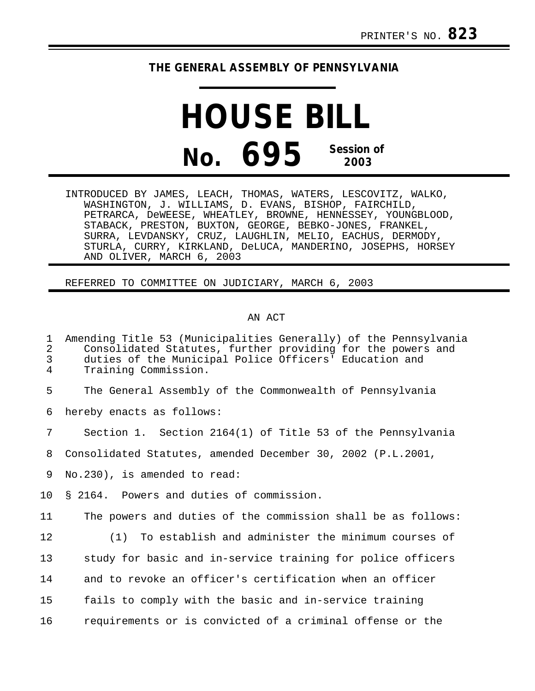## **THE GENERAL ASSEMBLY OF PENNSYLVANIA**

## **HOUSE BILL No. 695 Session of 2003**

INTRODUCED BY JAMES, LEACH, THOMAS, WATERS, LESCOVITZ, WALKO, WASHINGTON, J. WILLIAMS, D. EVANS, BISHOP, FAIRCHILD, PETRARCA, DeWEESE, WHEATLEY, BROWNE, HENNESSEY, YOUNGBLOOD, STABACK, PRESTON, BUXTON, GEORGE, BEBKO-JONES, FRANKEL, SURRA, LEVDANSKY, CRUZ, LAUGHLIN, MELIO, EACHUS, DERMODY, STURLA, CURRY, KIRKLAND, DeLUCA, MANDERINO, JOSEPHS, HORSEY AND OLIVER, MARCH 6, 2003

REFERRED TO COMMITTEE ON JUDICIARY, MARCH 6, 2003

## AN ACT

## 1 Amending Title 53 (Municipalities Generally) of the Pennsylvania 2 Consolidated Statutes, further providing for the powers and<br>3 duties of the Municipal Police Officers' Education and 3 duties of the Municipal Police Officers' Education and Training Commission. 5 The General Assembly of the Commonwealth of Pennsylvania 6 hereby enacts as follows: 7 Section 1. Section 2164(1) of Title 53 of the Pennsylvania 8 Consolidated Statutes, amended December 30, 2002 (P.L.2001, 9 No.230), is amended to read: 10 § 2164. Powers and duties of commission. 11 The powers and duties of the commission shall be as follows: 12 (1) To establish and administer the minimum courses of 13 study for basic and in-service training for police officers 14 and to revoke an officer's certification when an officer 15 fails to comply with the basic and in-service training 16 requirements or is convicted of a criminal offense or the